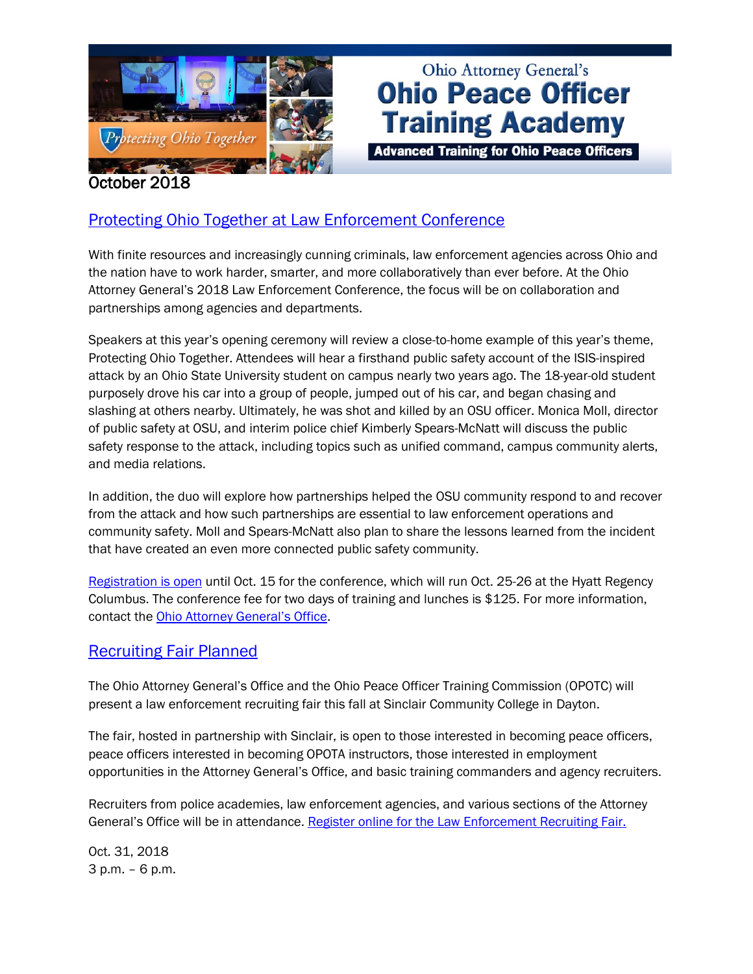

# **Ohio Attorney General's Ohio Peace Officer Training Academy**

**Advanced Training for Ohio Peace Officers** 

#### October 2018

# [Protecting Ohio Together at Law Enforcement Conference](https://www.ohioattorneygeneral.gov/LEConference)

With finite resources and increasingly cunning criminals, law enforcement agencies across Ohio and the nation have to work harder, smarter, and more collaboratively than ever before. At the Ohio Attorney General's 2018 Law Enforcement Conference, the focus will be on collaboration and partnerships among agencies and departments.

Speakers at this year's opening ceremony will review a close-to-home example of this year's theme, Protecting Ohio Together. Attendees will hear a firsthand public safety account of the ISIS-inspired attack by an Ohio State University student on campus nearly two years ago. The 18-year-old student purposely drove his car into a group of people, jumped out of his car, and began chasing and slashing at others nearby. Ultimately, he was shot and killed by an OSU officer. Monica Moll, director of public safety at OSU, and interim police chief Kimberly Spears-McNatt will discuss the public safety response to the attack, including topics such as unified command, campus community alerts, and media relations.

In addition, the duo will explore how partnerships helped the OSU community respond to and recover from the attack and how such partnerships are essential to law enforcement operations and community safety. Moll and Spears-McNatt also plan to share the lessons learned from the incident that have created an even more connected public safety community.

[Registration is open](https://www.ohioattorneygeneral.gov/LEConference) until Oct. 15 for the conference, which will run Oct. 25-26 at the Hyatt Regency Columbus. The conference fee for two days of training and lunches is \$125. For more information, contact the [Ohio Attorney General's Office.](mailto:LEC@OhioAttorneyGeneral.gov)

#### [Recruiting](https://www.ohioattorneygeneral.gov/Law-Enforcement/Law-Enforcement-Recruiting-Fair) Fair Planned

The Ohio Attorney General's Office and the Ohio Peace Officer Training Commission (OPOTC) will present a law enforcement recruiting fair this fall at Sinclair Community College in Dayton.

The fair, hosted in partnership with Sinclair, is open to those interested in becoming peace officers, peace officers interested in becoming OPOTA instructors, those interested in employment opportunities in the Attorney General's Office, and basic training commanders and agency recruiters.

Recruiters from police academies, law enforcement agencies, and various sections of the Attorney General's Office will be in attendance. [Register online for the Law Enforcement Recruiting Fair.](https://www.ohioattorneygeneral.gov/Law-Enforcement/Law-Enforcement-Recruiting-Fair)

Oct. 31, 2018 3 p.m. – 6 p.m.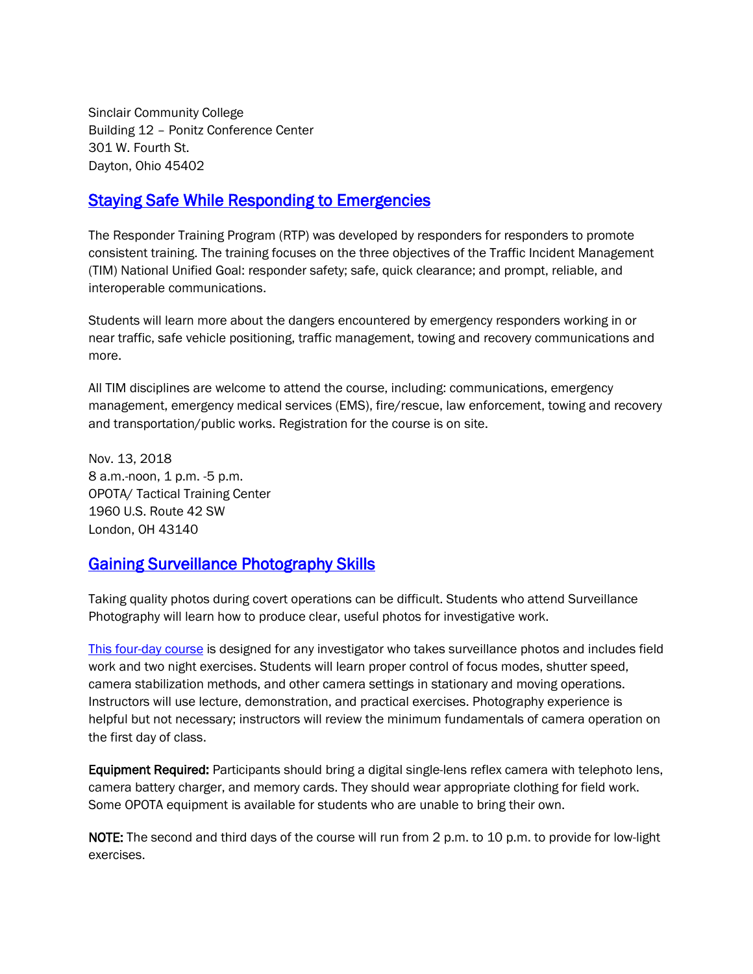Sinclair Community College Building 12 – Ponitz Conference Center 301 W. Fourth St. Dayton, Ohio 45402

#### **Staying Safe While Responding to Emergencies**

The Responder Training Program (RTP) was developed by responders for responders to promote consistent training. The training focuses on the three objectives of the Traffic Incident Management (TIM) National Unified Goal: responder safety; safe, quick clearance; and prompt, reliable, and interoperable communications.

Students will learn more about the dangers encountered by emergency responders working in or near traffic, safe vehicle positioning, traffic management, towing and recovery communications and more.

All TIM disciplines are welcome to attend the course, including: communications, emergency management, emergency medical services (EMS), fire/rescue, law enforcement, towing and recovery and transportation/public works. Registration for the course is on site.

Nov. 13, 2018 8 a.m.-noon, 1 p.m. -5 p.m. OPOTA/ Tactical Training Center 1960 U.S. Route 42 SW London, OH 43140

## [Gaining Surveillance Photography Skills](https://www.ohioattorneygeneral.gov/Law-Enforcement/Ohio-Peace-Officer-Training-Academy/Course-Catalog/Course-Search?searchtext=surveillance+photography&searchmode=exactphrase)

Taking quality photos during covert operations can be difficult. Students who attend Surveillance Photography will learn how to produce clear, useful photos for investigative work.

[This four-day course](https://www.ohioattorneygeneral.gov/Law-Enforcement/Ohio-Peace-Officer-Training-Academy/Course-Catalog/Course-Search?searchtext=surveillance+photography&searchmode=exactphrase) is designed for any investigator who takes surveillance photos and includes field work and two night exercises. Students will learn proper control of focus modes, shutter speed, camera stabilization methods, and other camera settings in stationary and moving operations. Instructors will use lecture, demonstration, and practical exercises. Photography experience is helpful but not necessary; instructors will review the minimum fundamentals of camera operation on the first day of class.

Equipment Required: Participants should bring a digital single-lens reflex camera with telephoto lens, camera battery charger, and memory cards. They should wear appropriate clothing for field work. Some OPOTA equipment is available for students who are unable to bring their own.

NOTE: The second and third days of the course will run from 2 p.m. to 10 p.m. to provide for low-light exercises.